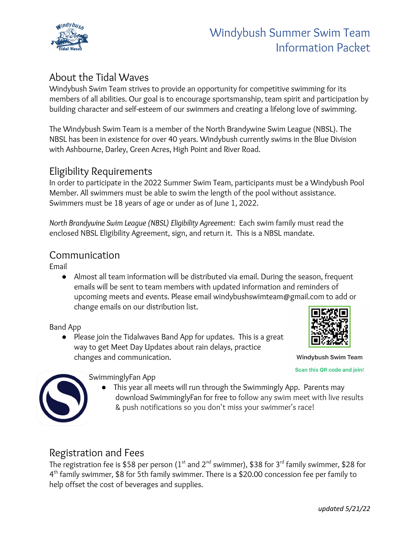

# Windybush Summer Swim Team Information Packet

# About the Tidal Waves

Windybush Swim Team strives to provide an opportunity for competitive swimming for its members of all abilities. Our goal is to encourage sportsmanship, team spirit and participation by building character and self-esteem of our swimmers and creating a lifelong love of swimming.

The Windybush Swim Team is a member of the North Brandywine Swim League (NBSL). The NBSL has been in existence for over 40 years. Windybush currently swims in the Blue Division with Ashbourne, Darley, Green Acres, High Point and River Road.

## Eligibility Requirements

In order to participate in the 2022 Summer Swim Team, participants must be a Windybush Pool Member. All swimmers must be able to swim the length of the pool without assistance. Swimmers must be 18 years of age or under as of June 1, 2022.

*North Brandywine Swim League (NBSL) Eligibility Agreement:* Each swim family must read the enclosed NBSL Eligibility Agreement, sign, and return it. This is a NBSL mandate.

#### Communication

Email

● Almost all team information will be distributed via email. During the season, frequent emails will be sent to team members with updated information and reminders of upcoming meets and events. Please email windybushswimteam@gmail.com to add or change emails on our distribution list.

#### Band App

● Please join the Tidalwaves Band App for updates. This is a great way to get Meet Day Updates about rain delays, practice changes and communication.



Windybush Swim Team

Scan this QR code and join!



#### SwimminglyFan App

● This year all meets will run through the Swimmingly App. Parents may download SwimminglyFan for free to follow any swim meet with live results & push notifications so you don't miss your swimmer's race!

## Registration and Fees

The registration fee is \$58 per person (1 $^{\rm st}$  and 2 $^{\rm nd}$  swimmer), \$38 for 3 $^{\rm rd}$  family swimmer, \$28 for 4<sup>th</sup> family swimmer, \$8 for 5th family swimmer. There is a \$20.00 concession fee per family to help offset the cost of beverages and supplies.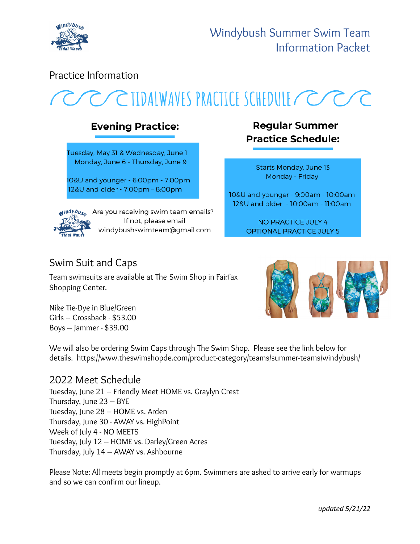

## Practice Information

# CIIDALWAVES PRACTICE SCHEDULE CCC

# **Evening Practice:**

Tuesday, May 31 & Wednesday, June 1 Monday, June 6 - Thursday, June 9

10&U and younger - 6:00pm - 7:00pm 12&U and older - 7:00pm - 8:00pm



windybus, Are you receiving swim team emails? If not, please email windybushswimteam@gmail.com

# **Regular Summer Practice Schedule:**

Starts Monday, June 13 Monday - Friday

10&U and younger - 9:00am - 10:00am 12&U and older - 10:00am - 11:00am

> **NO PRACTICE JULY 4 OPTIONAL PRACTICE JULY 5**

# Swim Suit and Caps

Team swimsuits are available at The Swim Shop in Fairfax Shopping Center.

Nike Tie-Dye in Blue/Green Girls – Crossback - \$53.00 Boys – Jammer - \$39.00



We will also be ordering Swim Caps through The Swim Shop. Please see the link below for details. https://www.theswimshopde.com/product-category/teams/summer-teams/windybush/

# 2022 Meet Schedule

Tuesday, June 21 – Friendly Meet HOME vs. Graylyn Crest Thursday, June 23 – BYE Tuesday, June 28 – HOME vs. Arden Thursday, June 30 - AWAY vs. HighPoint Week of July 4 - NO MEETS Tuesday, July 12 – HOME vs. Darley/Green Acres Thursday, July 14 – AWAY vs. Ashbourne

Please Note: All meets begin promptly at 6pm. Swimmers are asked to arrive early for warmups and so we can confirm our lineup.